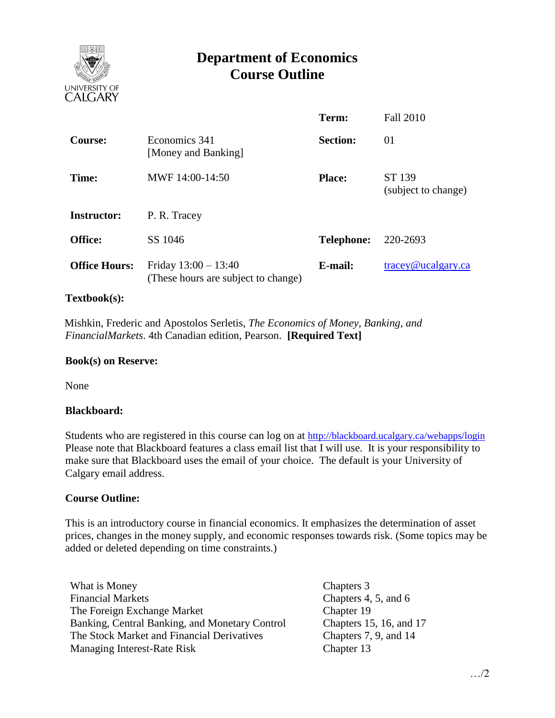

# **Department of Economics Course Outline**

|                      |                                                               | Term:             | <b>Fall 2010</b>                 |
|----------------------|---------------------------------------------------------------|-------------------|----------------------------------|
| <b>Course:</b>       | Economics 341<br>[Money and Banking]                          | <b>Section:</b>   | 01                               |
| Time:                | MWF 14:00-14:50                                               | <b>Place:</b>     | ST 139<br>(subject to change)    |
| <b>Instructor:</b>   | P. R. Tracey                                                  |                   |                                  |
| Office:              | SS 1046                                                       | <b>Telephone:</b> | 220-2693                         |
| <b>Office Hours:</b> | Friday $13:00 - 13:40$<br>(These hours are subject to change) | E-mail:           | $trace\sqrt{\omega}$ ucalgary.ca |

### **Textbook(s):**

 Mishkin, Frederic and Apostolos Serletis, *The Economics of Money, Banking, and FinancialMarkets*. 4th Canadian edition, Pearson. **[Required Text]**

#### **Book(s) on Reserve:**

None

#### **Blackboard:**

Students who are registered in this course can log on at <http://blackboard.ucalgary.ca/webapps/login> Please note that Blackboard features a class email list that I will use. It is your responsibility to make sure that Blackboard uses the email of your choice. The default is your University of Calgary email address.

#### **Course Outline:**

This is an introductory course in financial economics. It emphasizes the determination of asset prices, changes in the money supply, and economic responses towards risk. (Some topics may be added or deleted depending on time constraints.)

What is Money Chapters 3 Financial Markets Chapters 4, 5, and 6 The Foreign Exchange Market Banking, Central Banking, and Monetary Control The Stock Market and Financial Derivatives Managing Interest-Rate Risk

Chapter 19 Chapters 15, 16, and 17 Chapters 7, 9, and 14 Chapter 13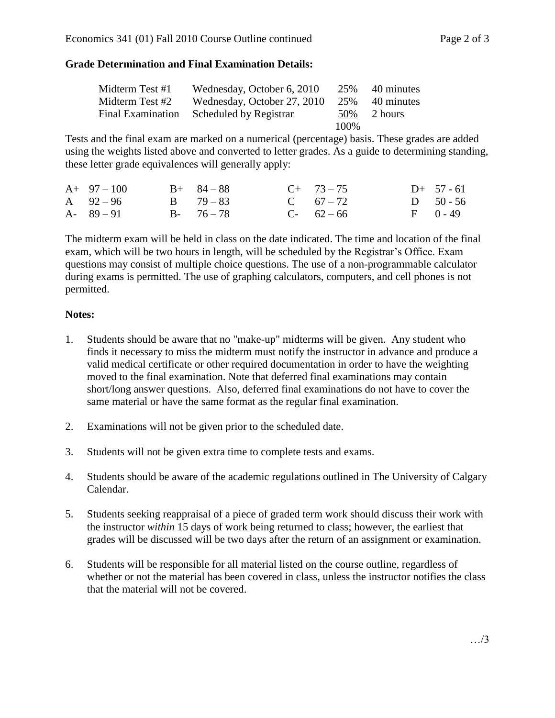## **Grade Determination and Final Examination Details:**

| Midterm Test #1          | Wednesday, October 6, 2010  | 25%   | 40 minutes |
|--------------------------|-----------------------------|-------|------------|
| Midterm Test #2          | Wednesday, October 27, 2010 | 25%   | 40 minutes |
| <b>Final Examination</b> | Scheduled by Registrar      | 50%   | 2 hours    |
|                          |                             | 100\% |            |

Tests and the final exam are marked on a numerical (percentage) basis. These grades are added using the weights listed above and converted to letter grades. As a guide to determining standing, these letter grade equivalences will generally apply:

| $A+97-100$    | $B+ 84-88$    | $C+ 73-75$  | $D+ 57 - 61$ |
|---------------|---------------|-------------|--------------|
| A $92-96$     | $B = 79 - 83$ | C $67 - 72$ | D $50 - 56$  |
| $A - 89 - 91$ | $B - 76 - 78$ | $C-62-66$   | $F = 0 - 49$ |

The midterm exam will be held in class on the date indicated. The time and location of the final exam, which will be two hours in length, will be scheduled by the Registrar's Office. Exam questions may consist of multiple choice questions. The use of a non-programmable calculator during exams is permitted. The use of graphing calculators, computers, and cell phones is not permitted.

## **Notes:**

- 1. Students should be aware that no "make-up" midterms will be given. Any student who finds it necessary to miss the midterm must notify the instructor in advance and produce a valid medical certificate or other required documentation in order to have the weighting moved to the final examination. Note that deferred final examinations may contain short/long answer questions. Also, deferred final examinations do not have to cover the same material or have the same format as the regular final examination.
- 2. Examinations will not be given prior to the scheduled date.
- 3. Students will not be given extra time to complete tests and exams.
- 4. Students should be aware of the academic regulations outlined in The University of Calgary Calendar.
- 5. Students seeking reappraisal of a piece of graded term work should discuss their work with the instructor *within* 15 days of work being returned to class; however, the earliest that grades will be discussed will be two days after the return of an assignment or examination.
- 6. Students will be responsible for all material listed on the course outline, regardless of whether or not the material has been covered in class, unless the instructor notifies the class that the material will not be covered.